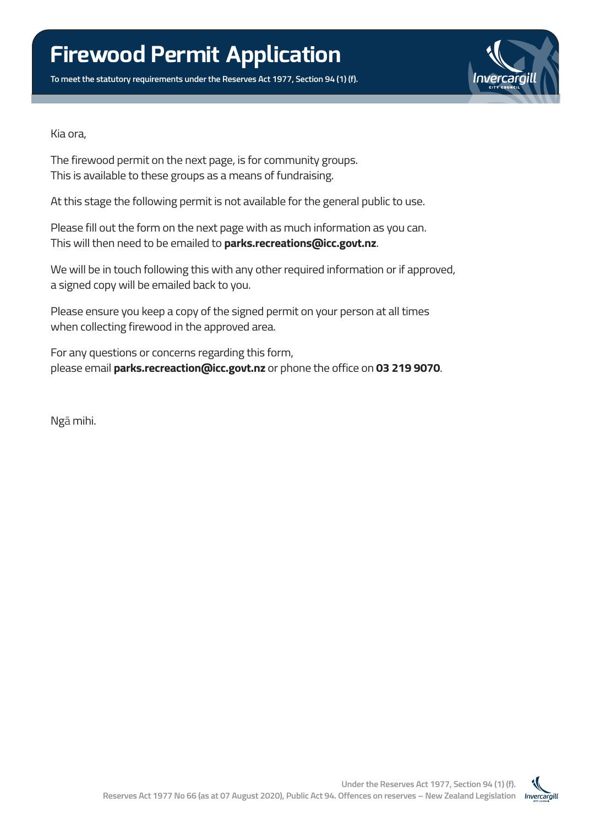**To meet the statutory requirements under the Reserves Act 1977, Section 94 (1) (f).**



Kia ora,

The firewood permit on the next page, is for community groups. This is available to these groups as a means of fundraising.

At this stage the following permit is not available for the general public to use.

Please fill out the form on the next page with as much information as you can. This will then need to be emailed to **parks.recreations@icc.govt.nz**.

We will be in touch following this with any other required information or if approved, a signed copy will be emailed back to you.

Please ensure you keep a copy of the signed permit on your person at all times when collecting firewood in the approved area.

For any questions or concerns regarding this form, please email **parks.recreaction@icc.govt.nz** or phone the office on **03 219 9070**.

Ngā mihi.

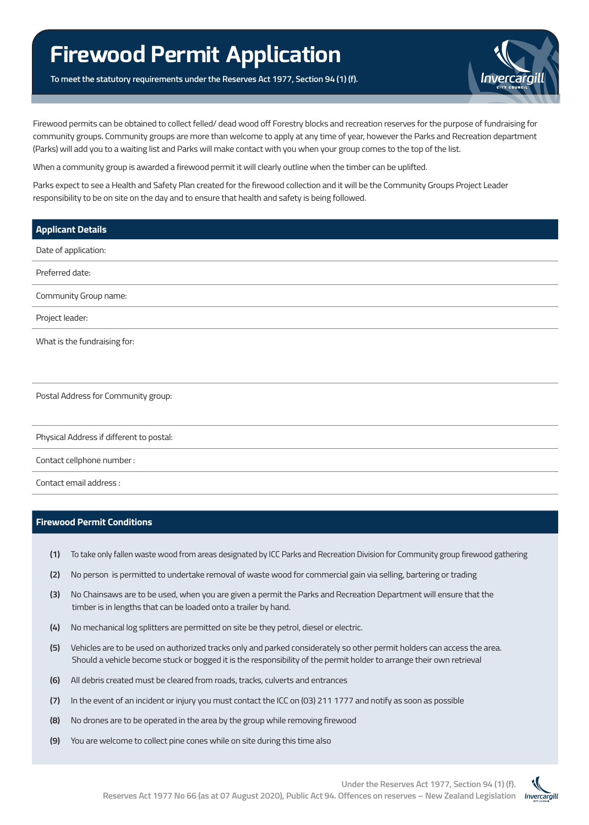## **Firewood Permit Application**

**To meet the statutory requirements under the Reserves Act 1977, Section 94 (1) (f).**



Firewood permits can be obtained to collect felled/ dead wood off Forestry blocks and recreation reserves for the purpose of fundraising for community groups. Community groups are more than welcome to apply at any time of year, however the Parks and Recreation department (Parks) will add you to a waiting list and Parks will make contact with you when your group comes to the top of the list.

When a community group is awarded a firewood permit it will clearly outline when the timber can be uplifted.

Parks expect to see a Health and Safety Plan created for the firewood collection and it will be the Community Groups Project Leader responsibility to be on site on the day and to ensure that health and safety is being followed.

| <b>Applicant Details</b>                 |
|------------------------------------------|
| Date of application:                     |
| Preferred date:                          |
| Community Group name:                    |
| Project leader:                          |
| What is the fundraising for:             |
|                                          |
| Postal Address for Community group:      |
| Physical Address if different to postal: |

Contact cellphone number :

Contact email address :

## **Firewood Permit Conditions**

- **(1)** To take only fallen waste wood from areas designated by ICC Parks and Recreation Division for Community group firewood gathering
- **(2)** No person is permitted to undertake removal of waste wood for commercial gain via selling, bartering or trading
- **(3)** No Chainsaws are to be used, when you are given a permit the Parks and Recreation Department will ensure that the timber is in lengths that can be loaded onto a trailer by hand.
- **(4)** No mechanical log splitters are permitted on site be they petrol, diesel or electric.
- **(5)** Vehicles are to be used on authorized tracks only and parked considerately so other permit holders can access the area. Should a vehicle become stuck or bogged it is the responsibility of the permit holder to arrange their own retrieval
- **(6)** All debris created must be cleared from roads, tracks, culverts and entrances
- **(7)** In the event of an incident or injury you must contact the ICC on (03) 211 1777 and notify as soon as possible
- **(8)** No drones are to be operated in the area by the group while removing firewood
- **(9)** You are welcome to collect pine cones while on site during this time also